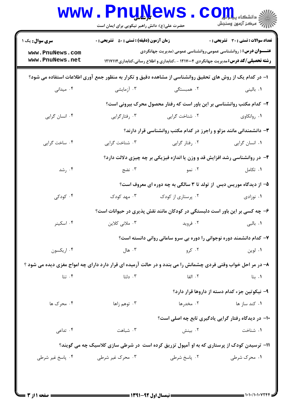| www.PnuNews.com<br>www.PnuNews.net<br>ا– در کدام یک از روش های تحقیق روانشناسی از مشاهده دقیق و تکرار به منظور جمع آوری اطلاعات استفاده می شود؟<br>۰۴ میدانی | ۰۳ آزمایشی       | <b>عنـــوان درس:</b> ( روانشناسی عمومی،روانشناسی عمومی (مدیریت جهانگردی<br><b>رشته تحصیلی/کد درس:</b> مدیریت جهانگردی ۱۲۱۷۰۰۴ - ،کتابداری و اطلاع رسانی،کتابداری۱۲۱۷۱۱۴ |                                               |
|--------------------------------------------------------------------------------------------------------------------------------------------------------------|------------------|-------------------------------------------------------------------------------------------------------------------------------------------------------------------------|-----------------------------------------------|
|                                                                                                                                                              |                  |                                                                                                                                                                         |                                               |
|                                                                                                                                                              |                  |                                                                                                                                                                         |                                               |
|                                                                                                                                                              |                  | ۰۲ همبستگی                                                                                                                                                              | ۰۱ بالینی                                     |
|                                                                                                                                                              |                  | ۲- کدام مکتب روانشناسی بر این باور است که رفتار محصول محرک بیرونی است؟                                                                                                  |                                               |
| ۰۴ انسان گرایی                                                                                                                                               | ۰۳ رفتارگرایی    | ۰۲ شناخت گرایی                                                                                                                                                          | ۰۱ روانکاوی                                   |
|                                                                                                                                                              |                  | ۰۳ دانشمندانی مانند مزلو و راجرز در کدام مکتب روانشناسی قرار دارند؟                                                                                                     |                                               |
| ۰۴ ساخت گرايي                                                                                                                                                | ۰۳ شناخت گرایی   | ۰۲ رفتار گرایی                                                                                                                                                          | ٠١ انسان گرايي                                |
|                                                                                                                                                              |                  | ۴- در روانشناسی رشد افزایش قد و وزن یا اندازه فیزیکی بر چه چیزی دلالت دارد؟                                                                                             |                                               |
| ۰۴ رشد                                                                                                                                                       | ۰۳ نضج           | ۲. نمو                                                                                                                                                                  | ۰۱ تکامل                                      |
|                                                                                                                                                              |                  | ۵– از دیدگاه موریس دبس از تولد تا ۳ سالگی به چه دوره ای معروف است؟                                                                                                      |                                               |
| ۰۴ کودکی                                                                                                                                                     | ۰۳ مهد کودک      | ۰۲ پرستاری از کودک                                                                                                                                                      | ۰۱ نوزادی                                     |
|                                                                                                                                                              |                  | ۶- چه کسی بر این باور است دلبستگی در کودکان مانند نقش پذیری در حیوانات است؟                                                                                             |                                               |
| ۰۴ اسکینر                                                                                                                                                    | ۰۳ ملانی کلاین   | ۰۲ فروید                                                                                                                                                                | ۰۱ بالبی                                      |
|                                                                                                                                                              |                  | ۷– کدام دانشمند دوره نوجوانی را دوره بی سرو سامانی روانی دانسته است؟                                                                                                    |                                               |
| ۰۴ اریکسون                                                                                                                                                   | ۰۳ هال           | ۰۲ کرو                                                                                                                                                                  | ۰۱ لوين                                       |
| ۸– در مر احل خواب وقتی فردی چشمانش را می بندد و در حالت آرمیده ای قرار دارد دارای چه امواج مغزی دیده می شود ؟                                                |                  |                                                                                                                                                                         |                                               |
| ۰۴ تتا                                                                                                                                                       | ۰۳ دلتا          | ۲. الفا                                                                                                                                                                 | ۰۱. بتا                                       |
|                                                                                                                                                              |                  |                                                                                                                                                                         | ۹– نیکوتین جزء کدام دسته از داروها قرار دارد؟ |
| ۰۴ محرک ها                                                                                                                                                   | ۰۳ توهم زاها     | ۰۲ مخدرها                                                                                                                                                               | ۰۱ کند ساز ها                                 |
|                                                                                                                                                              |                  | ۱۰- در دیدگاه رفتار گرایی یادگیری تابع چه اصلی است؟                                                                                                                     |                                               |
| ۰۴ تداعی                                                                                                                                                     | ۰۳ شباهت         | ۰۲ بینش                                                                                                                                                                 | ۰۱ شناخت                                      |
|                                                                                                                                                              |                  | 1۱- ترسیدن کودک از پرستاری که به او آمپول تزریق کرده است در شرطی سازی کلاسیک چه می گویند؟                                                                               |                                               |
| ۰۴ پاسخ غیر شرطی                                                                                                                                             | ۰۳ محرک غیر شرطی | ۰۲ پاسخ شرطی                                                                                                                                                            | ۰۱ محرک شرطی                                  |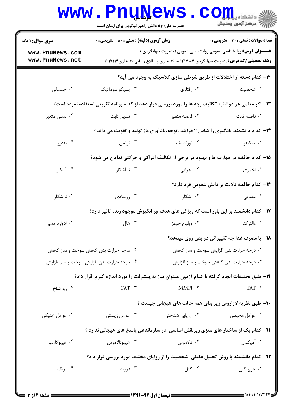|                                                                                                       | <b>www.PnuNews</b><br>حضرت علی(ع): دانش راهبر نیکویی برای ایمان است |                                                                                                                                                                         | الله دانشکاه پیاه اور CO <sub>P</sub>         |  |  |  |
|-------------------------------------------------------------------------------------------------------|---------------------------------------------------------------------|-------------------------------------------------------------------------------------------------------------------------------------------------------------------------|-----------------------------------------------|--|--|--|
| سری سوال: ۱ یک                                                                                        | <b>زمان آزمون (دقیقه) : تستی : 50 ٪ تشریحی : 0</b>                  |                                                                                                                                                                         | تعداد سوالات : تستي : 30 ٪ تشريحي : 0         |  |  |  |
| www.PnuNews.com<br>www.PnuNews.net                                                                    |                                                                     | <b>عنـــوان درس:</b> روانشناسی عمومی،روانشناسی عمومی (مدیریت جهانگردی )<br><b>رشته تحصیلی/کد درس:</b> مدیریت جهانگردی ۱۲۱۷۰۰۴ - ،کتابداری و اطلاع رسانی،کتابداری۱۲۱۷۱۱۴ |                                               |  |  |  |
| ۱۲- کدام دسته از اختلالات از طریق شرطی سازی کلاسیک به وجود می آید؟                                    |                                                                     |                                                                                                                                                                         |                                               |  |  |  |
| ۰۴ جسمانی                                                                                             | ۰۳ پسیکو سوماتیک                                                    | ۰۲ رفتاری                                                                                                                                                               | ۰۱ شخصیت                                      |  |  |  |
| ۱۳- اگر معلمی هر دوشنبه تکالیف بچه ها را مورد بررسی قرار دهد از کدام برنامه تقویتی استفاده نموده است؟ |                                                                     |                                                                                                                                                                         |                                               |  |  |  |
| ۰۴ نسبي متغير                                                                                         | ۰۳ نسبی ثابت                                                        | ۰۲ فاصله متغیر                                                                                                                                                          | ٠١. فاصله ثابت                                |  |  |  |
|                                                                                                       |                                                                     | ۱۴- کدام دانشمند یادگیری را شامل ۴ فرایند ،توجه،یادآوری،باز تولید و تقویت می داند ؟                                                                                     |                                               |  |  |  |
| ۰۴ بندورا                                                                                             | ۰۳ تولمن                                                            | ۰۲ ثورندایک                                                                                                                                                             | ۰۱ اسکینر                                     |  |  |  |
|                                                                                                       |                                                                     | ۱۵– کدام حافظه در مهارت ها و بهبود در برخی از تکالیف ادراکی و حرکتی نمایان می شود؟                                                                                      |                                               |  |  |  |
| ۰۴ آشکار                                                                                              | ۰۳ نا آشکار                                                         | ۰۲ اجرایی                                                                                                                                                               | ٠١. اخبارى                                    |  |  |  |
|                                                                                                       |                                                                     |                                                                                                                                                                         | ۱۶– کدام حافظه دلالت بر دانش عمومی فرد دارد؟  |  |  |  |
| ۰۴ ناآشکار                                                                                            | ۰۳ رویدادی                                                          | ۰۲ آشکار                                                                                                                                                                | ۰۱ معنایی                                     |  |  |  |
| ۱۷– کدام دانشمند بر این باور است که ویژگی های هدف ،بر انگیزش موجود زنده تاثیر دارد؟                   |                                                                     |                                                                                                                                                                         |                                               |  |  |  |
| ۰۴ ادوارد دسی                                                                                         | ۰۳ هال                                                              | ۰۲ ویلیام جیمز                                                                                                                                                          | ۰۱ والتر کنن                                  |  |  |  |
|                                                                                                       |                                                                     |                                                                                                                                                                         | 1۸- با مصرف غذا چه تغییراتی در بدن روی میدهد؟ |  |  |  |
| ۰۲ درجه حرارت بدن کاهش سوخت و ساز کاهش                                                                |                                                                     | ۰۱ درجه حرارت بدن افزایش سوخت و ساز کاهش                                                                                                                                |                                               |  |  |  |
| ۰۳ درجه حرارت بدن کاهش سوخت و ساز افزایش<br>۰۴ درجه حرارت بدن افزایش سوخت و ساز افزایش                |                                                                     |                                                                                                                                                                         |                                               |  |  |  |
|                                                                                                       |                                                                     | ۱۹- طبق تحقیقات انجام گرفته با کدام آزمون میتوان نیاز به پیشرفت را مورد اندازه گیری قرار داد؟                                                                           |                                               |  |  |  |
| ۰۴ رورشاخ                                                                                             | CAT . <b> т</b>                                                     | $\text{MMPI}\ \cdot\ \! \texttt{Y}$                                                                                                                                     | TAT .1                                        |  |  |  |
|                                                                                                       |                                                                     | ۲۰– طبق نظریه لازاروس زیر بنای همه حالت های هیجانی چیست ؟                                                                                                               |                                               |  |  |  |
| ۰۴ عوامل ژنتیکی                                                                                       | ۰۳ عوامل زیستی                                                      | ۰۲ ارزیابی شناختی                                                                                                                                                       | ۰۱ عوامل محیطی                                |  |  |  |
|                                                                                                       |                                                                     | <b>۲۱</b> - کدام یک از ساختار های مغزی زیرنقش اساسی در سازماندهی پاسخ های هیجانی ندارد ؟                                                                                |                                               |  |  |  |
| ۰۴ هيپوکامپ                                                                                           | ۰۳ هيپوتالاموس                                                      | ۰۲ تالاموس                                                                                                                                                              | ۰۱ آمیگدال                                    |  |  |  |
|                                                                                                       |                                                                     | ۲۲- کدام دانشمند با روش تحلیل عاملی شخصیت را از زوایای مختلف مورد بررسی قرار داد؟                                                                                       |                                               |  |  |  |
| ۰۴ يونگ                                                                                               | ۰۳ فروید                                                            | ۰۲ کتل                                                                                                                                                                  | ۰۱ جرج کلی                                    |  |  |  |
|                                                                                                       |                                                                     |                                                                                                                                                                         |                                               |  |  |  |